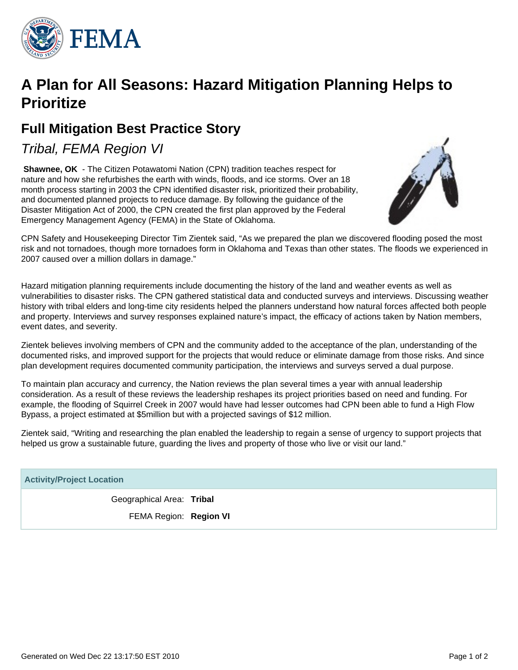

# **A Plan for All Seasons: Hazard Mitigation Planning Helps to Prioritize**

# **Full Mitigation Best Practice Story**

Tribal, FEMA Region VI

**Shawnee, OK** - The Citizen Potawatomi Nation (CPN) tradition teaches respect for nature and how she refurbishes the earth with winds, floods, and ice storms. Over an 18 month process starting in 2003 the CPN identified disaster risk, prioritized their probability, and documented planned projects to reduce damage. By following the guidance of the Disaster Mitigation Act of 2000, the CPN created the first plan approved by the Federal Emergency Management Agency (FEMA) in the State of Oklahoma.



CPN Safety and Housekeeping Director Tim Zientek said, "As we prepared the plan we discovered flooding posed the most risk and not tornadoes, though more tornadoes form in Oklahoma and Texas than other states. The floods we experienced in 2007 caused over a million dollars in damage."

Hazard mitigation planning requirements include documenting the history of the land and weather events as well as vulnerabilities to disaster risks. The CPN gathered statistical data and conducted surveys and interviews. Discussing weather history with tribal elders and long-time city residents helped the planners understand how natural forces affected both people and property. Interviews and survey responses explained nature's impact, the efficacy of actions taken by Nation members, event dates, and severity.

Zientek believes involving members of CPN and the community added to the acceptance of the plan, understanding of the documented risks, and improved support for the projects that would reduce or eliminate damage from those risks. And since plan development requires documented community participation, the interviews and surveys served a dual purpose.

To maintain plan accuracy and currency, the Nation reviews the plan several times a year with annual leadership consideration. As a result of these reviews the leadership reshapes its project priorities based on need and funding. For example, the flooding of Squirrel Creek in 2007 would have had lesser outcomes had CPN been able to fund a High Flow Bypass, a project estimated at \$5million but with a projected savings of \$12 million.

Zientek said, "Writing and researching the plan enabled the leadership to regain a sense of urgency to support projects that helped us grow a sustainable future, quarding the lives and property of those who live or visit our land."

| <b>Activity/Project Location</b> |  |
|----------------------------------|--|
| Geographical Area: Tribal        |  |
| FEMA Region: Region VI           |  |